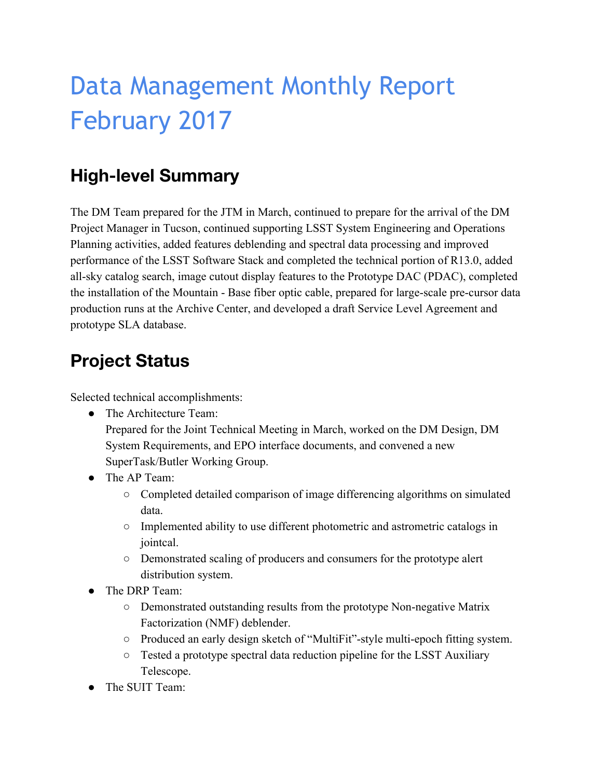# Data Management Monthly Report February 2017

# **High-level Summary**

The DM Team prepared for the JTM in March, continued to prepare for the arrival of the DM Project Manager in Tucson, continued supporting LSST System Engineering and Operations Planning activities, added features deblending and spectral data processing and improved performance of the LSST Software Stack and completed the technical portion of R13.0, added all-sky catalog search, image cutout display features to the Prototype DAC (PDAC), completed the installation of the Mountain - Base fiber optic cable, prepared for large-scale pre-cursor data production runs at the Archive Center, and developed a draft Service Level Agreement and prototype SLA database.

# **Project Status**

Selected technical accomplishments:

- The Architecture Team: Prepared for the Joint Technical Meeting in March, worked on the DM Design, DM System Requirements, and EPO interface documents, and convened a new SuperTask/Butler Working Group.
- The AP Team:
	- Completed detailed comparison of image differencing algorithms on simulated data.
	- Implemented ability to use different photometric and astrometric catalogs in jointcal.
	- Demonstrated scaling of producers and consumers for the prototype alert distribution system.
- The DRP Team:
	- Demonstrated outstanding results from the prototype Non-negative Matrix Factorization (NMF) deblender.
	- Produced an early design sketch of "MultiFit"-style multi-epoch fitting system.
	- Tested a prototype spectral data reduction pipeline for the LSST Auxiliary Telescope.
- The SUIT Team: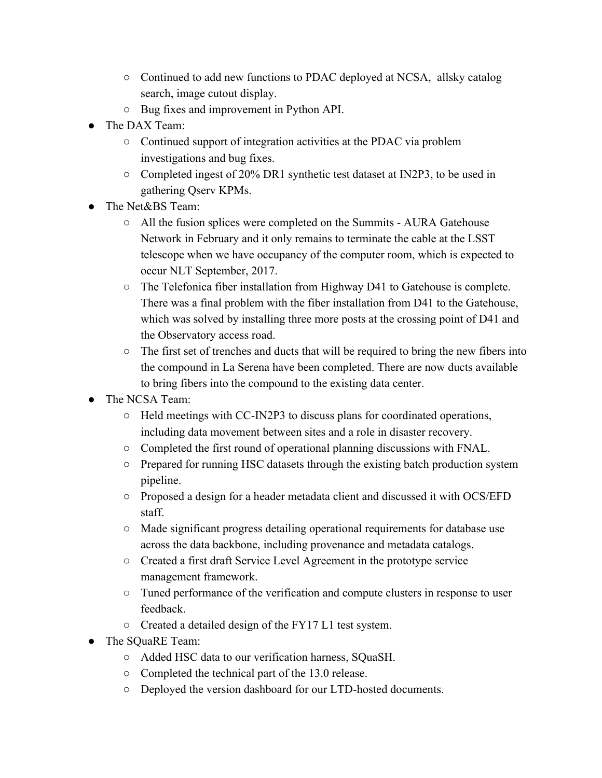- Continued to add new functions to PDAC deployed at NCSA, allsky catalog search, image cutout display.
- Bug fixes and improvement in Python API.
- The DAX Team:
	- Continued support of integration activities at the PDAC via problem investigations and bug fixes.
	- Completed ingest of 20% DR1 synthetic test dataset at IN2P3, to be used in gathering Qserv KPMs.
- The Net&BS Team:
	- All the fusion splices were completed on the Summits AURA Gatehouse Network in February and it only remains to terminate the cable at the LSST telescope when we have occupancy of the computer room, which is expected to occur NLT September, 2017.
	- The Telefonica fiber installation from Highway D41 to Gatehouse is complete. There was a final problem with the fiber installation from D41 to the Gatehouse, which was solved by installing three more posts at the crossing point of D41 and the Observatory access road.
	- The first set of trenches and ducts that will be required to bring the new fibers into the compound in La Serena have been completed. There are now ducts available to bring fibers into the compound to the existing data center.
- The NCSA Team:
	- Held meetings with CC-IN2P3 to discuss plans for coordinated operations, including data movement between sites and a role in disaster recovery.
	- Completed the first round of operational planning discussions with FNAL.
	- Prepared for running HSC datasets through the existing batch production system pipeline.
	- Proposed a design for a header metadata client and discussed it with OCS/EFD staff.
	- Made significant progress detailing operational requirements for database use across the data backbone, including provenance and metadata catalogs.
	- Created a first draft Service Level Agreement in the prototype service management framework.
	- Tuned performance of the verification and compute clusters in response to user feedback.
	- Created a detailed design of the FY17 L1 test system.
- The SQuaRE Team:
	- Added HSC data to our verification harness, SQuaSH.
	- Completed the technical part of the 13.0 release.
	- Deployed the version dashboard for our LTD-hosted documents.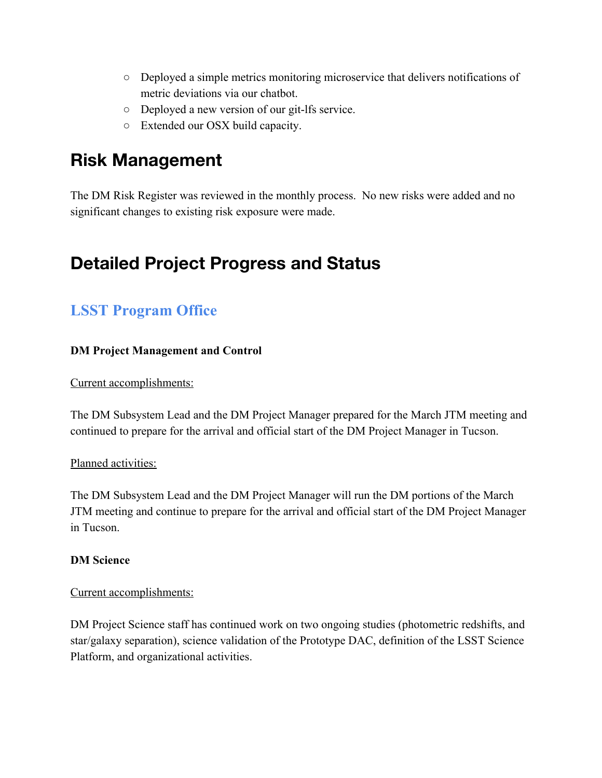- Deployed a simple metrics monitoring microservice that delivers notifications of metric deviations via our chatbot.
- Deployed a new version of our git-lfs service.
- Extended our OSX build capacity.

# **Risk Management**

The DM Risk Register was reviewed in the monthly process. No new risks were added and no significant changes to existing risk exposure were made.

# **Detailed Project Progress and Status**

### **LSST Program Office**

#### **DM Project Management and Control**

Current accomplishments:

The DM Subsystem Lead and the DM Project Manager prepared for the March JTM meeting and continued to prepare for the arrival and official start of the DM Project Manager in Tucson.

#### Planned activities:

The DM Subsystem Lead and the DM Project Manager will run the DM portions of the March JTM meeting and continue to prepare for the arrival and official start of the DM Project Manager in Tucson.

#### **DM Science**

#### Current accomplishments:

DM Project Science staff has continued work on two ongoing studies (photometric redshifts, and star/galaxy separation), science validation of the Prototype DAC, definition of the LSST Science Platform, and organizational activities.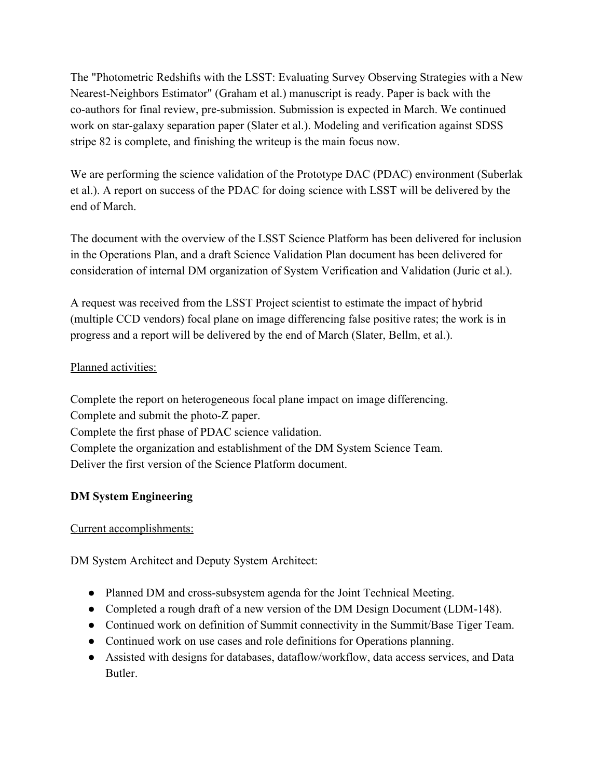The "Photometric Redshifts with the LSST: Evaluating Survey Observing Strategies with a New Nearest-Neighbors Estimator" (Graham et al.) manuscript is ready. Paper is back with the co-authors for final review, pre-submission. Submission is expected in March. We continued work on star-galaxy separation paper (Slater et al.). Modeling and verification against SDSS stripe 82 is complete, and finishing the writeup is the main focus now.

We are performing the science validation of the Prototype DAC (PDAC) environment (Suberlak et al.). A report on success of the PDAC for doing science with LSST will be delivered by the end of March.

The document with the overview of the LSST Science Platform has been delivered for inclusion in the Operations Plan, and a draft Science Validation Plan document has been delivered for consideration of internal DM organization of System Verification and Validation (Juric et al.).

A request was received from the LSST Project scientist to estimate the impact of hybrid (multiple CCD vendors) focal plane on image differencing false positive rates; the work is in progress and a report will be delivered by the end of March (Slater, Bellm, et al.).

#### Planned activities:

Complete the report on heterogeneous focal plane impact on image differencing. Complete and submit the photo-Z paper. Complete the first phase of PDAC science validation. Complete the organization and establishment of the DM System Science Team. Deliver the first version of the Science Platform document.

#### **DM System Engineering**

Current accomplishments:

DM System Architect and Deputy System Architect:

- Planned DM and cross-subsystem agenda for the Joint Technical Meeting.
- Completed a rough draft of a new version of the DM Design Document (LDM-148).
- Continued work on definition of Summit connectivity in the Summit/Base Tiger Team.
- Continued work on use cases and role definitions for Operations planning.
- Assisted with designs for databases, dataflow/workflow, data access services, and Data Butler.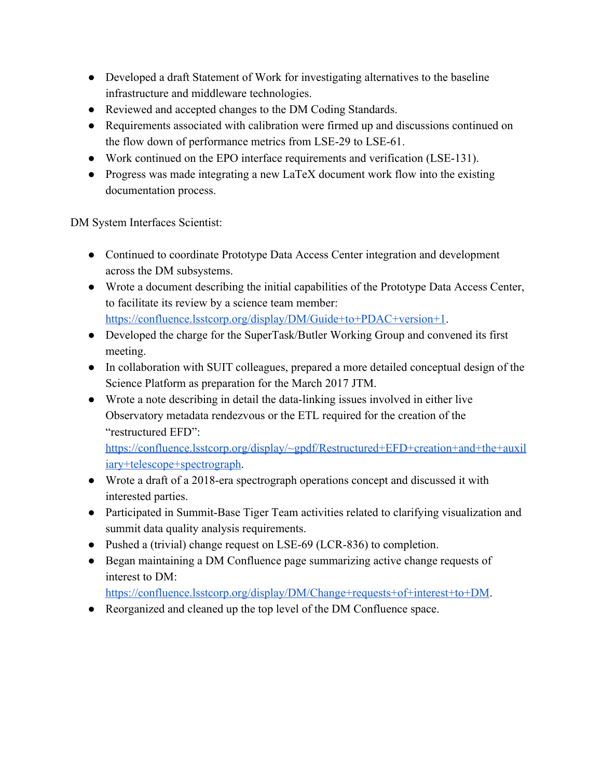- Developed a draft Statement of Work for investigating alternatives to the baseline infrastructure and middleware technologies.
- Reviewed and accepted changes to the DM Coding Standards.
- Requirements associated with calibration were firmed up and discussions continued on the flow down of performance metrics from LSE-29 to LSE-61.
- Work continued on the EPO interface requirements and verification (LSE-131).
- Progress was made integrating a new LaTeX document work flow into the existing documentation process.

DM System Interfaces Scientist:

- Continued to coordinate Prototype Data Access Center integration and development across the DM subsystems.
- Wrote a document describing the initial capabilities of the Prototype Data Access Center, to facilitate its review by a science team member: [https://confluence.lsstcorp.org/display/DM/Guide+to+PDAC+version+1.](https://confluence.lsstcorp.org/display/DM/Guide+to+PDAC+version+1)
- Developed the charge for the SuperTask/Butler Working Group and convened its first meeting.
- In collaboration with SUIT colleagues, prepared a more detailed conceptual design of the Science Platform as preparation for the March 2017 JTM.
- Wrote a note describing in detail the data-linking issues involved in either live Observatory metadata rendezvous or the ETL required for the creation of the "restructured EFD":

[https://confluence.lsstcorp.org/display/~gpdf/Restructured+EFD+creation+and+the+auxil](https://confluence.lsstcorp.org/display/~gpdf/Restructured+EFD+creation+and+the+auxiliary+telescope+spectrograph) [iary+telescope+spectrograph.](https://confluence.lsstcorp.org/display/~gpdf/Restructured+EFD+creation+and+the+auxiliary+telescope+spectrograph)

- Wrote a draft of a 2018-era spectrograph operations concept and discussed it with interested parties.
- Participated in Summit-Base Tiger Team activities related to clarifying visualization and summit data quality analysis requirements.
- Pushed a (trivial) change request on LSE-69 (LCR-836) to completion.
- Began maintaining a DM Confluence page summarizing active change requests of interest to DM:

[https://confluence.lsstcorp.org/display/DM/Change+requests+of+interest+to+DM.](https://confluence.lsstcorp.org/display/DM/Change+requests+of+interest+to+DM)

● Reorganized and cleaned up the top level of the DM Confluence space.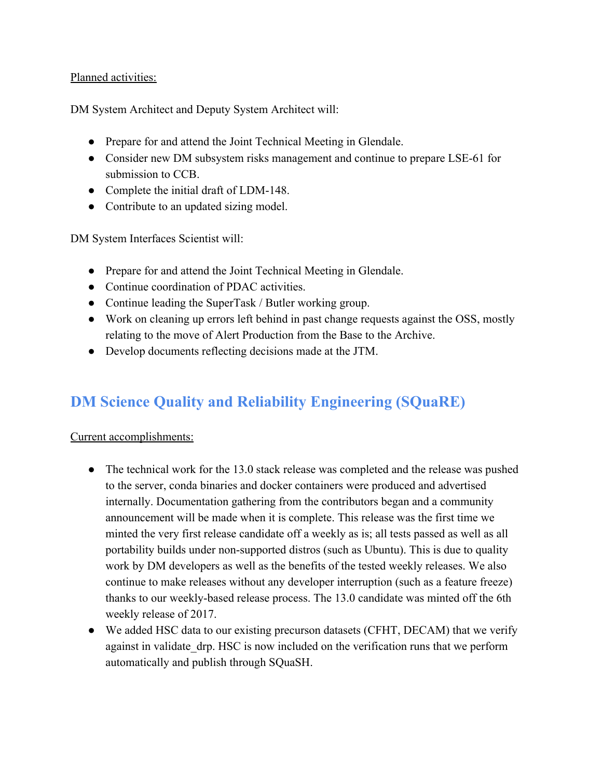#### Planned activities:

DM System Architect and Deputy System Architect will:

- Prepare for and attend the Joint Technical Meeting in Glendale.
- Consider new DM subsystem risks management and continue to prepare LSE-61 for submission to CCB.
- Complete the initial draft of LDM-148.
- Contribute to an updated sizing model.

DM System Interfaces Scientist will:

- Prepare for and attend the Joint Technical Meeting in Glendale.
- Continue coordination of PDAC activities.
- Continue leading the SuperTask / Butler working group.
- Work on cleaning up errors left behind in past change requests against the OSS, mostly relating to the move of Alert Production from the Base to the Archive.
- Develop documents reflecting decisions made at the JTM.

### **DM Science Quality and Reliability Engineering (SQuaRE)**

#### Current accomplishments:

- The technical work for the 13.0 stack release was completed and the release was pushed to the server, conda binaries and docker containers were produced and advertised internally. Documentation gathering from the contributors began and a community announcement will be made when it is complete. This release was the first time we minted the very first release candidate off a weekly as is; all tests passed as well as all portability builds under non-supported distros (such as Ubuntu). This is due to quality work by DM developers as well as the benefits of the tested weekly releases. We also continue to make releases without any developer interruption (such as a feature freeze) thanks to our weekly-based release process. The 13.0 candidate was minted off the 6th weekly release of 2017.
- We added HSC data to our existing precurson datasets (CFHT, DECAM) that we verify against in validate\_drp. HSC is now included on the verification runs that we perform automatically and publish through SQuaSH.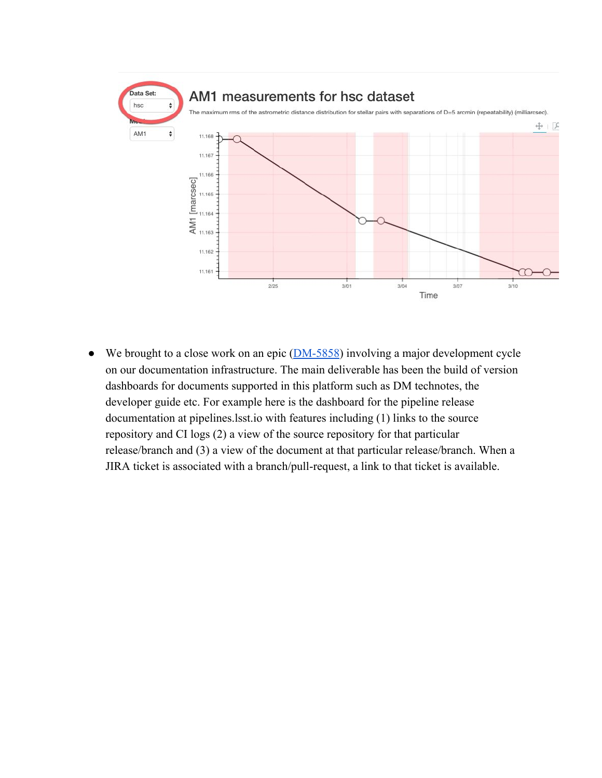

• We brought to a close work on an epic  $(DM-5858)$  involving a major development cycle on our documentation infrastructure. The main deliverable has been the build of version dashboards for documents supported in this platform such as DM technotes, the developer guide etc. For example here is the dashboard for the pipeline release documentation at pipelines.lsst.io with features including (1) links to the source repository and CI logs (2) a view of the source repository for that particular release/branch and (3) a view of the document at that particular release/branch. When a JIRA ticket is associated with a branch/pull-request, a link to that ticket is available.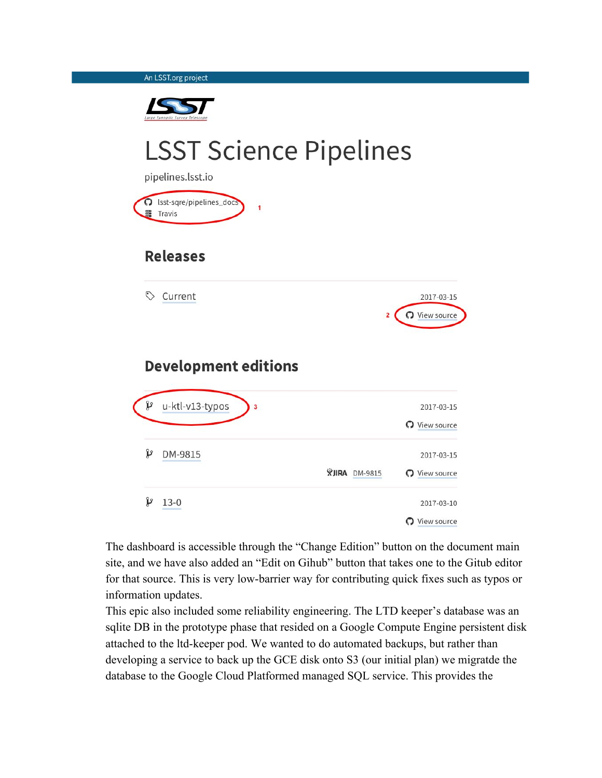An LSST.org project



# **LSST Science Pipelines**

pipelines.lsst.io S Isst-sqre/pipelines\_docs **■** Travis

### **Releases**

Current



### **Development editions**

| Y | u-ktl-v13-typos<br>3 |                         | 2017-03-15       |
|---|----------------------|-------------------------|------------------|
|   |                      |                         | View source<br>ຕ |
| P | DM-9815              |                         | 2017-03-15       |
|   |                      | <b>XJIRA</b><br>DM-9815 | View source<br>ດ |
| P | $13-0$               |                         | 2017-03-10       |
|   |                      |                         | View source      |

The dashboard is accessible through the "Change Edition" button on the document main site, and we have also added an "Edit on Gihub" button that takes one to the Gitub editor for that source. This is very low-barrier way for contributing quick fixes such as typos or information updates.

This epic also included some reliability engineering. The LTD keeper's database was an sqlite DB in the prototype phase that resided on a Google Compute Engine persistent disk attached to the ltd-keeper pod. We wanted to do automated backups, but rather than developing a service to back up the GCE disk onto S3 (our initial plan) we migratde the database to the Google Cloud Platformed managed SQL service. This provides the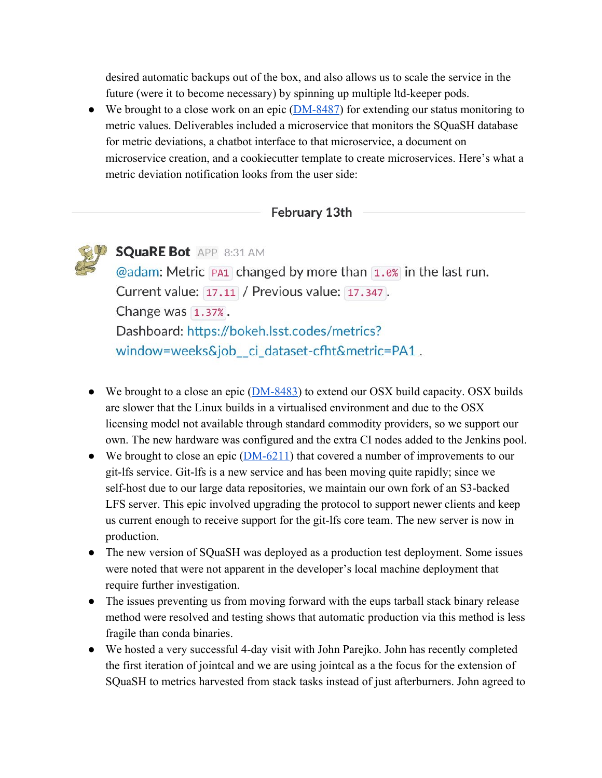desired automatic backups out of the box, and also allows us to scale the service in the future (were it to become necessary) by spinning up multiple ltd-keeper pods.

• We brought to a close work on an epic  $(DM-8487)$  for extending our status monitoring to metric values. Deliverables included a microservice that monitors the SQuaSH database for metric deviations, a chatbot interface to that microservice, a document on microservice creation, and a cookiecutter template to create microservices. Here's what a metric deviation notification looks from the user side:

#### February 13th



- $\bullet$  We brought to a close an epic ( $DM-8483$ ) to extend our OSX build capacity. OSX builds are slower that the Linux builds in a virtualised environment and due to the OSX licensing model not available through standard commodity providers, so we support our own. The new hardware was configured and the extra CI nodes added to the Jenkins pool.
- We brought to close an epic  $(DM-6211)$  that covered a number of improvements to our git-lfs service. Git-lfs is a new service and has been moving quite rapidly; since we self-host due to our large data repositories, we maintain our own fork of an S3-backed LFS server. This epic involved upgrading the protocol to support newer clients and keep us current enough to receive support for the git-lfs core team. The new server is now in production.
- The new version of SQuaSH was deployed as a production test deployment. Some issues were noted that were not apparent in the developer's local machine deployment that require further investigation.
- The issues preventing us from moving forward with the eups tarball stack binary release method were resolved and testing shows that automatic production via this method is less fragile than conda binaries.
- We hosted a very successful 4-day visit with John Parejko. John has recently completed the first iteration of jointcal and we are using jointcal as a the focus for the extension of SQuaSH to metrics harvested from stack tasks instead of just afterburners. John agreed to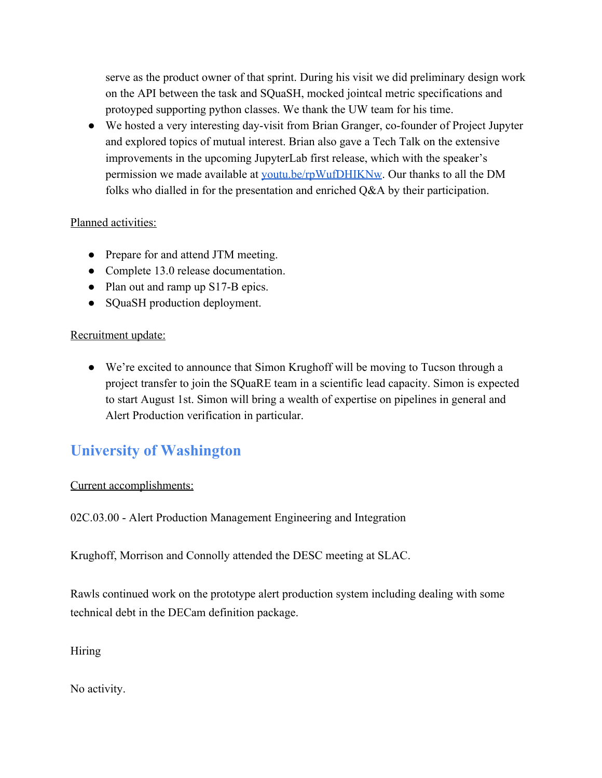serve as the product owner of that sprint. During his visit we did preliminary design work on the API between the task and SQuaSH, mocked jointcal metric specifications and protoyped supporting python classes. We thank the UW team for his time.

● We hosted a very interesting day-visit from Brian Granger, co-founder of Project Jupyter and explored topics of mutual interest. Brian also gave a Tech Talk on the extensive improvements in the upcoming JupyterLab first release, which with the speaker's permission we made available at [youtu.be/rpWufDHIKNw.](https://youtu.be/rpWufDHIKNw) Our thanks to all the DM folks who dialled in for the presentation and enriched Q&A by their participation.

#### Planned activities:

- Prepare for and attend JTM meeting.
- Complete 13.0 release documentation.
- Plan out and ramp up S17-B epics.
- SQuaSH production deployment.

#### Recruitment update:

● We're excited to announce that Simon Krughoff will be moving to Tucson through a project transfer to join the SQuaRE team in a scientific lead capacity. Simon is expected to start August 1st. Simon will bring a wealth of expertise on pipelines in general and Alert Production verification in particular.

### **University of Washington**

#### Current accomplishments:

02C.03.00 - Alert Production Management Engineering and Integration

Krughoff, Morrison and Connolly attended the DESC meeting at SLAC.

Rawls continued work on the prototype alert production system including dealing with some technical debt in the DECam definition package.

**Hiring** 

No activity.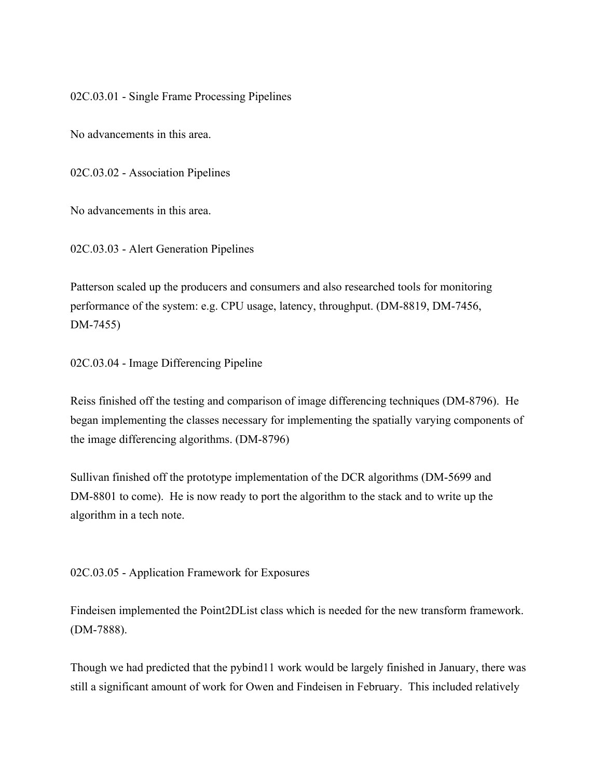02C.03.01 - Single Frame Processing Pipelines

No advancements in this area.

02C.03.02 - Association Pipelines

No advancements in this area.

02C.03.03 - Alert Generation Pipelines

Patterson scaled up the producers and consumers and also researched tools for monitoring performance of the system: e.g. CPU usage, latency, throughput. (DM-8819, DM-7456, DM-7455)

02C.03.04 - Image Differencing Pipeline

Reiss finished off the testing and comparison of image differencing techniques (DM-8796). He began implementing the classes necessary for implementing the spatially varying components of the image differencing algorithms. (DM-8796)

Sullivan finished off the prototype implementation of the DCR algorithms (DM-5699 and DM-8801 to come). He is now ready to port the algorithm to the stack and to write up the algorithm in a tech note.

02C.03.05 - Application Framework for Exposures

Findeisen implemented the Point2DList class which is needed for the new transform framework. (DM-7888).

Though we had predicted that the pybind11 work would be largely finished in January, there was still a significant amount of work for Owen and Findeisen in February. This included relatively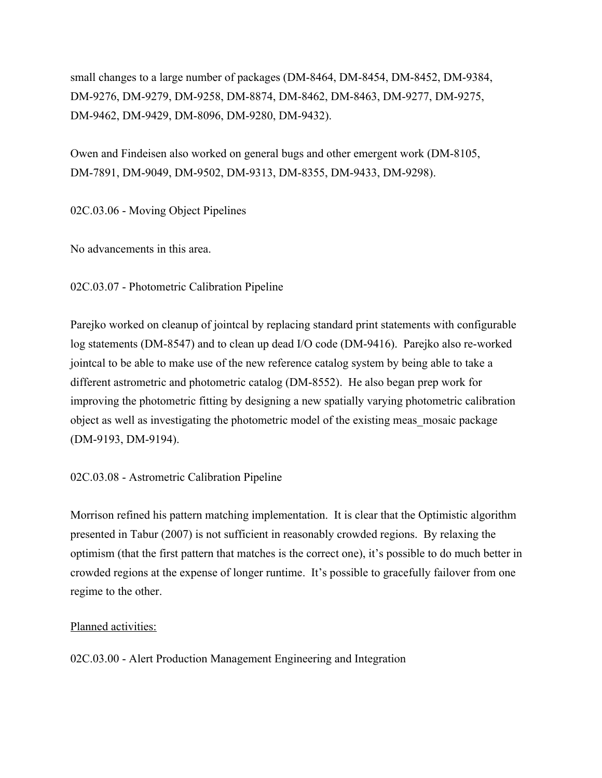small changes to a large number of packages (DM-8464, DM-8454, DM-8452, DM-9384, DM-9276, DM-9279, DM-9258, DM-8874, DM-8462, DM-8463, DM-9277, DM-9275, DM-9462, DM-9429, DM-8096, DM-9280, DM-9432).

Owen and Findeisen also worked on general bugs and other emergent work (DM-8105, DM-7891, DM-9049, DM-9502, DM-9313, DM-8355, DM-9433, DM-9298).

02C.03.06 - Moving Object Pipelines

No advancements in this area.

02C.03.07 - Photometric Calibration Pipeline

Parejko worked on cleanup of jointcal by replacing standard print statements with configurable log statements (DM-8547) and to clean up dead I/O code (DM-9416). Parejko also re-worked jointcal to be able to make use of the new reference catalog system by being able to take a different astrometric and photometric catalog (DM-8552). He also began prep work for improving the photometric fitting by designing a new spatially varying photometric calibration object as well as investigating the photometric model of the existing meas\_mosaic package (DM-9193, DM-9194).

02C.03.08 - Astrometric Calibration Pipeline

Morrison refined his pattern matching implementation. It is clear that the Optimistic algorithm presented in Tabur (2007) is not sufficient in reasonably crowded regions. By relaxing the optimism (that the first pattern that matches is the correct one), it's possible to do much better in crowded regions at the expense of longer runtime. It's possible to gracefully failover from one regime to the other.

#### Planned activities:

02C.03.00 - Alert Production Management Engineering and Integration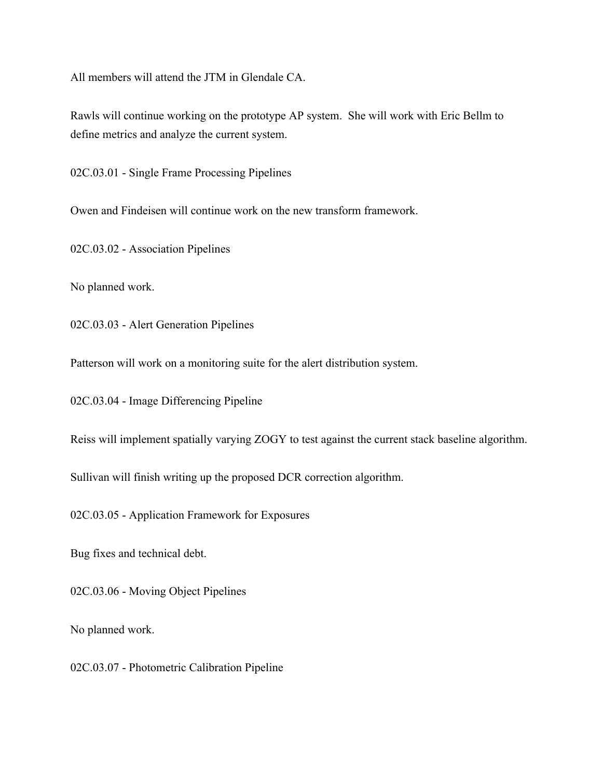All members will attend the JTM in Glendale CA.

Rawls will continue working on the prototype AP system. She will work with Eric Bellm to define metrics and analyze the current system.

02C.03.01 - Single Frame Processing Pipelines

Owen and Findeisen will continue work on the new transform framework.

02C.03.02 - Association Pipelines

No planned work.

02C.03.03 - Alert Generation Pipelines

Patterson will work on a monitoring suite for the alert distribution system.

02C.03.04 - Image Differencing Pipeline

Reiss will implement spatially varying ZOGY to test against the current stack baseline algorithm.

Sullivan will finish writing up the proposed DCR correction algorithm.

02C.03.05 - Application Framework for Exposures

Bug fixes and technical debt.

02C.03.06 - Moving Object Pipelines

No planned work.

02C.03.07 - Photometric Calibration Pipeline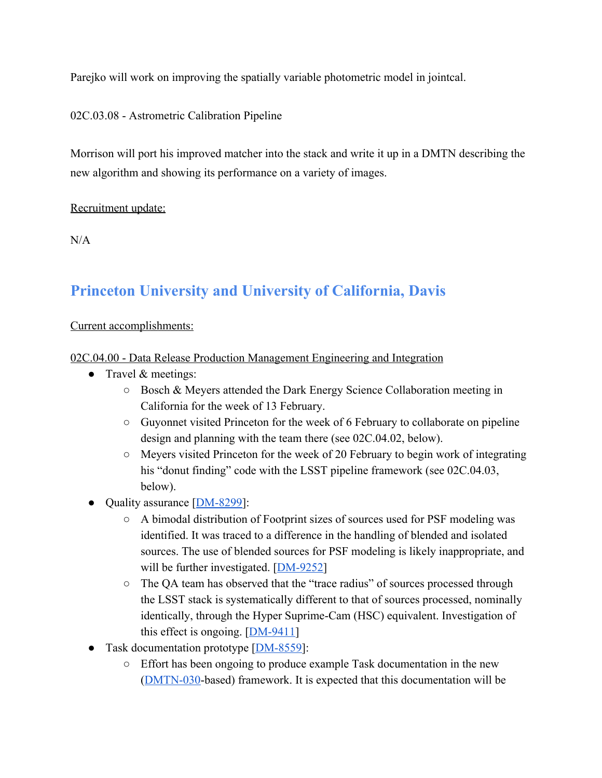Parejko will work on improving the spatially variable photometric model in jointcal.

02C.03.08 - Astrometric Calibration Pipeline

Morrison will port his improved matcher into the stack and write it up in a DMTN describing the new algorithm and showing its performance on a variety of images.

Recruitment update:

 $N/A$ 

### **Princeton University and University of California, Davis**

#### Current accomplishments:

#### 02C.04.00 - Data Release Production Management Engineering and Integration

- Travel & meetings:
	- Bosch & Meyers attended the Dark Energy Science Collaboration meeting in California for the week of 13 February.
	- Guyonnet visited Princeton for the week of 6 February to collaborate on pipeline design and planning with the team there (see 02C.04.02, below).
	- Meyers visited Princeton for the week of 20 February to begin work of integrating his "donut finding" code with the LSST pipeline framework (see 02C.04.03, below).
- Quality assurance [\[DM-8299\]](https://jira.lsstcorp.org/browse/DM-8299):
	- A bimodal distribution of Footprint sizes of sources used for PSF modeling was identified. It was traced to a difference in the handling of blended and isolated sources. The use of blended sources for PSF modeling is likely inappropriate, and will be further investigated.  $[DM-9252]$  $[DM-9252]$
	- The QA team has observed that the "trace radius" of sources processed through the LSST stack is systematically different to that of sources processed, nominally identically, through the Hyper Suprime-Cam (HSC) equivalent. Investigation of this effect is ongoing.  $[DM-9411]$
- Task documentation prototype [\[DM-8559](https://jira.lsstcorp.org/browse/DM-8559)]:
	- Effort has been ongoing to produce example Task documentation in the new [\(DMTN-030](http://dmtn-030.lsst.io/)-based) framework. It is expected that this documentation will be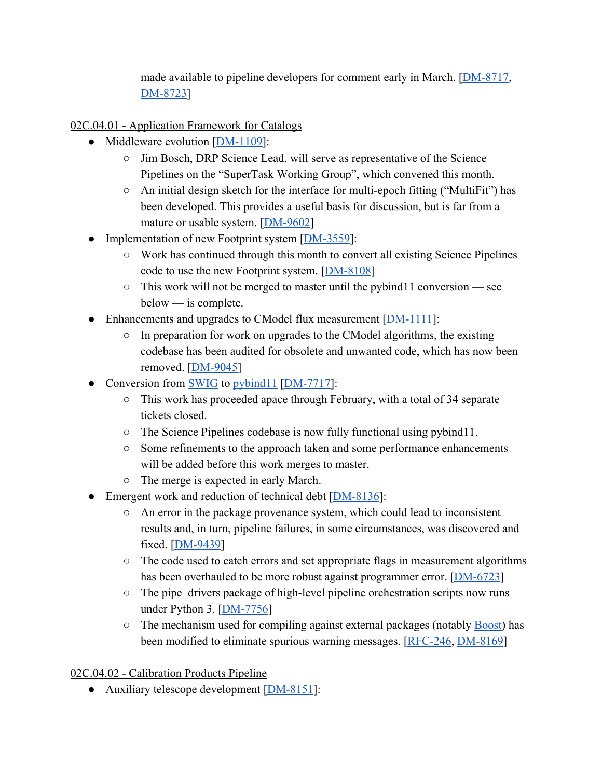made available to pipeline developers for comment early in March. [\[DM-8717,](https://jira.lsstcorp.org/browse/DM-8717) [DM-8723\]](https://jira.lsstcorp.org/browse/DM-8723)

02C.04.01 - Application Framework for Catalogs

- Middleware evolution [[DM-1109\]](https://jira.lsstcorp.org/browse/DM-1109):
	- Jim Bosch, DRP Science Lead, will serve as representative of the Science Pipelines on the "SuperTask Working Group", which convened this month.
	- An initial design sketch for the interface for multi-epoch fitting ("MultiFit") has been developed. This provides a useful basis for discussion, but is far from a mature or usable system. [\[DM-9602\]](https://jira.lsstcorp.org/browse/DM-9602)
- Implementation of new Footprint system [[DM-3559](https://jira.lsstcorp.org/browse/DM-3559)]:
	- Work has continued through this month to convert all existing Science Pipelines code to use the new Footprint system. [\[DM-8108\]](https://jira.lsstcorp.org/browse/DM-8108)
	- This work will not be merged to master until the pybind11 conversion see below — is complete.
- Enhancements and upgrades to CModel flux measurement [[DM-1111\]](https://jira.lsstcorp.org/browse/DM-1111):
	- In preparation for work on upgrades to the CModel algorithms, the existing codebase has been audited for obsolete and unwanted code, which has now been removed. [[DM-9045\]](https://jira.lsstcorp.org/browse/DM-9045)
- Conversion from **SWIG** to pybind 11 [\[DM-7717\]](https://jira.lsstcorp.org/browse/DM-7717):
	- This work has proceeded apace through February, with a total of 34 separate tickets closed.
	- The Science Pipelines codebase is now fully functional using pybind11.
	- Some refinements to the approach taken and some performance enhancements will be added before this work merges to master.
	- The merge is expected in early March.
- Emergent work and reduction of technical debt [\[DM-8136\]](https://jira.lsstcorp.org/browse/DM-8136):
	- An error in the package provenance system, which could lead to inconsistent results and, in turn, pipeline failures, in some circumstances, was discovered and fixed. [\[DM-9439\]](https://jira.lsstcorp.org/browse/DM-9439)
	- The code used to catch errors and set appropriate flags in measurement algorithms has been overhauled to be more robust against programmer error. [\[DM-6723](https://jira.lsstcorp.org/browse/DM-6723)]
	- The pipe drivers package of high-level pipeline orchestration scripts now runs under Python 3.  $[DM-7756]$  $[DM-7756]$
	- $\circ$  The mechanism used for compiling against external packages (notably **Boost**) has been modified to eliminate spurious warning messages. [\[RFC-246](https://jira.lsstcorp.org/browse/RFC-246), [DM-8169\]](https://jira.lsstcorp.org/browse/DM-8169)

#### 02C.04.02 - Calibration Products Pipeline

• Auxiliary telescope development [\[DM-8151\]](https://jira.lsstcorp.org/browse/DM-8151):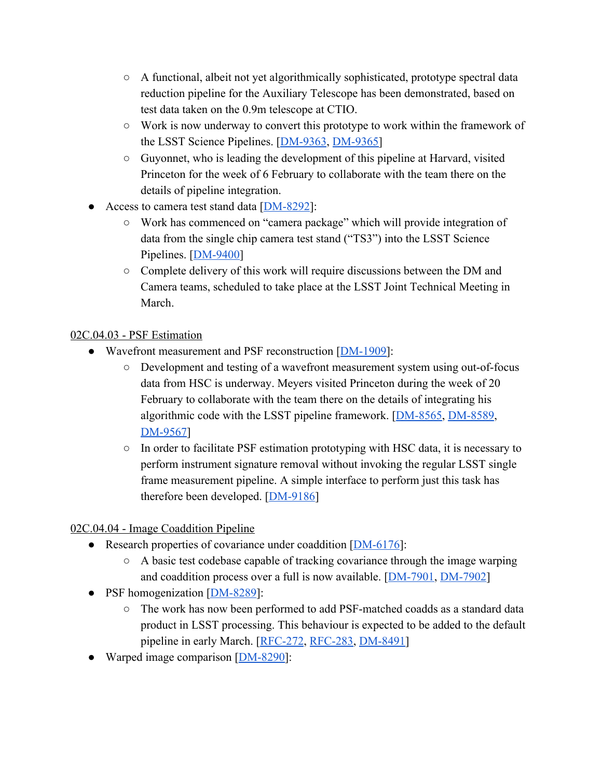- A functional, albeit not yet algorithmically sophisticated, prototype spectral data reduction pipeline for the Auxiliary Telescope has been demonstrated, based on test data taken on the 0.9m telescope at CTIO.
- Work is now underway to convert this prototype to work within the framework of the LSST Science Pipelines. [\[DM-9363](https://jira.lsstcorp.org/browse/DM-9363), [DM-9365](https://jira.lsstcorp.org/browse/DM-9365)]
- Guyonnet, who is leading the development of this pipeline at Harvard, visited Princeton for the week of 6 February to collaborate with the team there on the details of pipeline integration.
- Access to camera test stand data [\[DM-8292\]](https://jira.lsstcorp.org/browse/DM-8292):
	- Work has commenced on "camera package" which will provide integration of data from the single chip camera test stand ("TS3") into the LSST Science Pipelines. [\[DM-9400\]](https://jira.lsstcorp.org/browse/DM-9400)
	- Complete delivery of this work will require discussions between the DM and Camera teams, scheduled to take place at the LSST Joint Technical Meeting in March.

#### 02C.04.03 - PSF Estimation

- Wavefront measurement and PSF reconstruction [[DM-1909\]](https://jira.lsstcorp.org/browse/DM-1909):
	- Development and testing of a wavefront measurement system using out-of-focus data from HSC is underway. Meyers visited Princeton during the week of 20 February to collaborate with the team there on the details of integrating his algorithmic code with the LSST pipeline framework. [[DM-8565,](https://jira.lsstcorp.org/browse/DM-8565) [DM-8589,](https://jira.lsstcorp.org/browse/DM-8589) [DM-9567\]](https://jira.lsstcorp.org/browse/DM-9567)
	- In order to facilitate PSF estimation prototyping with HSC data, it is necessary to perform instrument signature removal without invoking the regular LSST single frame measurement pipeline. A simple interface to perform just this task has therefore been developed.  $[DM-9186]$  $[DM-9186]$

02C.04.04 - Image Coaddition Pipeline

- Research properties of covariance under coaddition [\[DM-6176\]](https://jira.lsstcorp.org/browse/DM-6176):
	- A basic test codebase capable of tracking covariance through the image warping and coaddition process over a full is now available. [\[DM-7901,](https://jira.lsstcorp.org/browse/DM-7901) [DM-7902\]](https://jira.lsstcorp.org/browse/DM-7902)
- PSF homogenization [[DM-8289\]](https://jira.lsstcorp.org/browse/DM-8289):
	- The work has now been performed to add PSF-matched coadds as a standard data product in LSST processing. This behaviour is expected to be added to the default pipeline in early March. [[RFC-272](https://jira.lsstcorp.org/browse/RFC-272), [RFC-283,](https://jira.lsstcorp.org/browse/RFC-283) [DM-8491\]](https://jira.lsstcorp.org/browse/DM-8491)
- Warped image comparison [\[DM-8290\]](https://jira.lsstcorp.org/browse/DM-8290):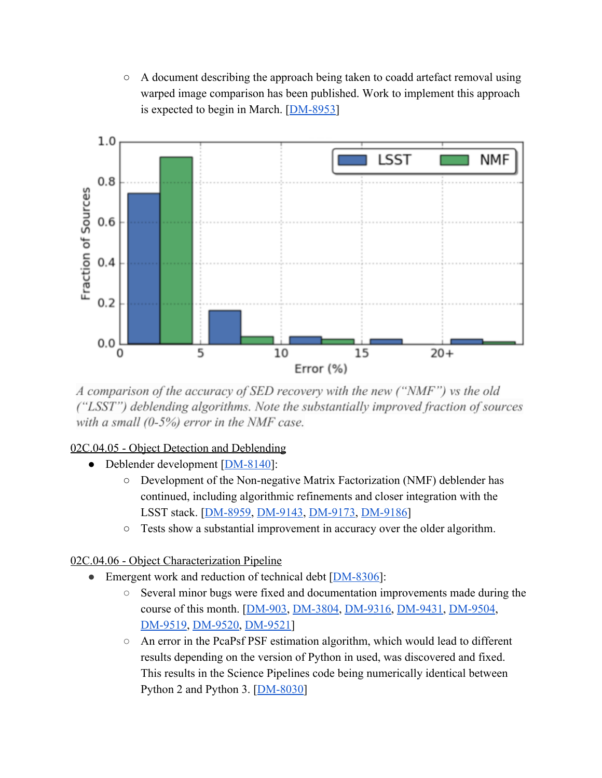$\circ$  A document describing the approach being taken to coadd artefact removal using warped image comparison has been published. Work to implement this approach is expected to begin in March. [\[DM-8953\]](https://jira.lsstcorp.org/browse/DM-8953)



A comparison of the accuracy of SED recovery with the new ("NMF") vs the old ("LSST") deblending algorithms. Note the substantially improved fraction of sources with a small  $(0-5%)$  error in the NMF case.

#### 02C.04.05 - Object Detection and Deblending

- Deblender development [\[DM-8140\]](https://jira.lsstcorp.org/browse/DM-8140):
	- Development of the Non-negative Matrix Factorization (NMF) deblender has continued, including algorithmic refinements and closer integration with the LSST stack. [\[DM-8959,](https://jira.lsstcorp.org/browse/DM-8959) [DM-9143,](https://jira.lsstcorp.org/browse/DM-9143) [DM-9173,](https://jira.lsstcorp.org/browse/DM-9173) [DM-9186](https://jira.lsstcorp.org/browse/DM-9186)]
	- Tests show a substantial improvement in accuracy over the older algorithm.

02C.04.06 - Object Characterization Pipeline

- Emergent work and reduction of technical debt [\[DM-8306\]](https://jira.lsstcorp.org/browse/DM-8306):
	- Several minor bugs were fixed and documentation improvements made during the course of this month. [\[DM-903,](https://jira.lsstcorp.org/browse/DM-903) [DM-3804,](https://jira.lsstcorp.org/browse/DM-3804) [DM-9316,](https://jira.lsstcorp.org/browse/DM-9316) [DM-9431,](https://jira.lsstcorp.org/browse/DM-9431) [DM-9504,](https://jira.lsstcorp.org/browse/DM-9504) [DM-9519,](https://jira.lsstcorp.org/browse/DM-9519) [DM-9520,](https://jira.lsstcorp.org/browse/DM-9520) [DM-9521\]](https://jira.lsstcorp.org/browse/DM-9521)
	- An error in the PcaPsf PSF estimation algorithm, which would lead to different results depending on the version of Python in used, was discovered and fixed. This results in the Science Pipelines code being numerically identical between Python 2 and Python 3. [[DM-8030\]](https://jira.lsstcorp.org/browse/DM-8030)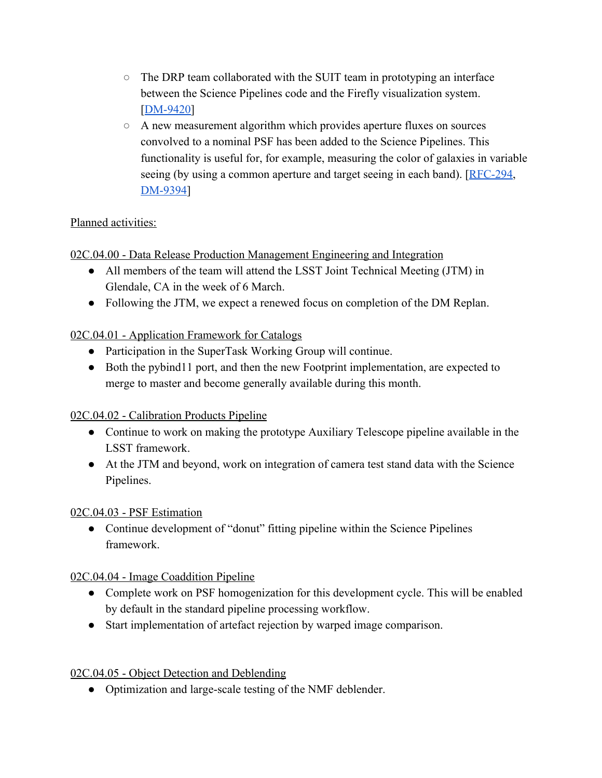- The DRP team collaborated with the SUIT team in prototyping an interface between the Science Pipelines code and the Firefly visualization system. [\[DM-9420\]](https://jira.lsstcorp.org/browse/DM-9420)
- A new measurement algorithm which provides aperture fluxes on sources convolved to a nominal PSF has been added to the Science Pipelines. This functionality is useful for, for example, measuring the color of galaxies in variable seeing (by using a common aperture and target seeing in each band). [\[RFC-294,](https://jira.lsstcorp.org/browse/RFC-294) [DM-9394\]](https://jira.lsstcorp.org/browse/DM-9394)

#### Planned activities:

02C.04.00 - Data Release Production Management Engineering and Integration

- All members of the team will attend the LSST Joint Technical Meeting (JTM) in Glendale, CA in the week of 6 March.
- Following the JTM, we expect a renewed focus on completion of the DM Replan.

#### 02C.04.01 - Application Framework for Catalogs

- Participation in the SuperTask Working Group will continue.
- Both the pybind11 port, and then the new Footprint implementation, are expected to merge to master and become generally available during this month.

#### 02C.04.02 - Calibration Products Pipeline

- Continue to work on making the prototype Auxiliary Telescope pipeline available in the LSST framework.
- At the JTM and beyond, work on integration of camera test stand data with the Science Pipelines.

#### 02C.04.03 - PSF Estimation

• Continue development of "donut" fitting pipeline within the Science Pipelines framework.

#### 02C.04.04 - Image Coaddition Pipeline

- Complete work on PSF homogenization for this development cycle. This will be enabled by default in the standard pipeline processing workflow.
- Start implementation of artefact rejection by warped image comparison.

#### 02C.04.05 - Object Detection and Deblending

• Optimization and large-scale testing of the NMF deblender.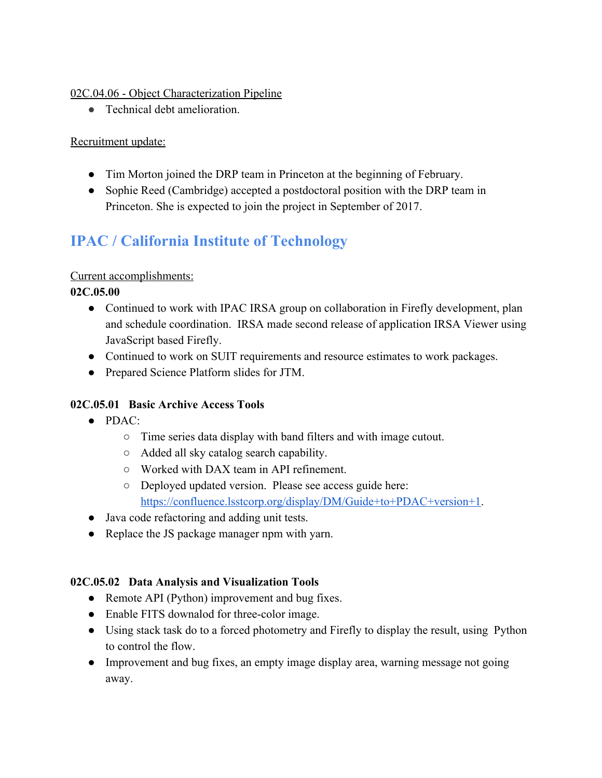#### 02C.04.06 - Object Characterization Pipeline

● Technical debt amelioration.

#### Recruitment update:

- Tim Morton joined the DRP team in Princeton at the beginning of February.
- Sophie Reed (Cambridge) accepted a postdoctoral position with the DRP team in Princeton. She is expected to join the project in September of 2017.

### **IPAC / California Institute of Technology**

#### Current accomplishments:

**02C.05.00**

- Continued to work with IPAC IRSA group on collaboration in Firefly development, plan and schedule coordination. IRSA made second release of application IRSA Viewer using JavaScript based Firefly.
- Continued to work on SUIT requirements and resource estimates to work packages.
- Prepared Science Platform slides for JTM.

#### **02C.05.01 Basic Archive Access Tools**

- $\bullet$  PDAC:
	- Time series data display with band filters and with image cutout.
	- Added all sky catalog search capability.
	- Worked with DAX team in API refinement.
	- Deployed updated version. Please see access guide here: [https://confluence.lsstcorp.org/display/DM/Guide+to+PDAC+version+1.](https://confluence.lsstcorp.org/display/DM/Guide+to+PDAC+version+1)
- Java code refactoring and adding unit tests.
- Replace the JS package manager npm with yarn.

#### **02C.05.02 Data Analysis and Visualization Tools**

- Remote API (Python) improvement and bug fixes.
- Enable FITS downalod for three-color image.
- Using stack task do to a forced photometry and Firefly to display the result, using Python to control the flow.
- Improvement and bug fixes, an empty image display area, warning message not going away.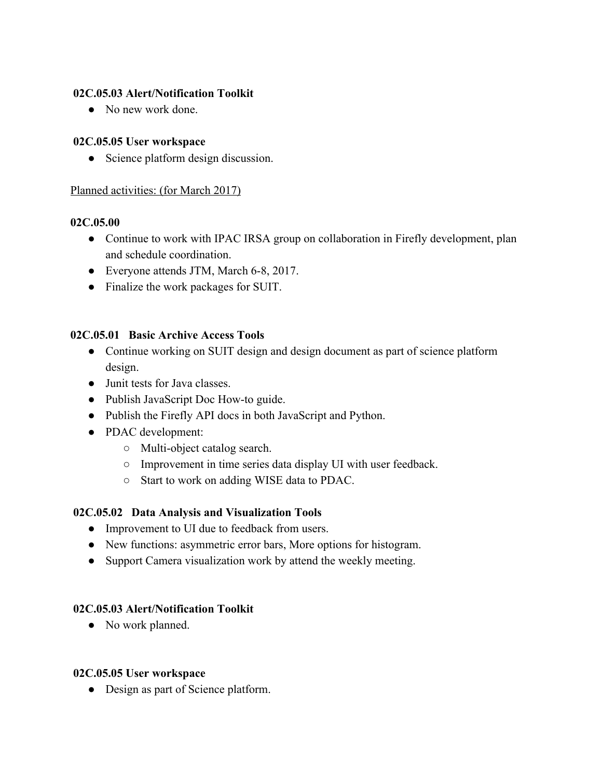#### **02C.05.03 Alert/Notification Toolkit**

• No new work done.

#### **02C.05.05 User workspace**

• Science platform design discussion.

#### Planned activities: (for March 2017)

#### **02C.05.00**

- Continue to work with IPAC IRSA group on collaboration in Firefly development, plan and schedule coordination.
- Everyone attends JTM, March 6-8, 2017.
- Finalize the work packages for SUIT.

#### **02C.05.01 Basic Archive Access Tools**

- Continue working on SUIT design and design document as part of science platform design.
- Junit tests for Java classes.
- Publish JavaScript Doc How-to guide.
- Publish the Firefly API docs in both JavaScript and Python.
- PDAC development:
	- Multi-object catalog search.
	- Improvement in time series data display UI with user feedback.
	- Start to work on adding WISE data to PDAC.

#### **02C.05.02 Data Analysis and Visualization Tools**

- Improvement to UI due to feedback from users.
- New functions: asymmetric error bars, More options for histogram.
- Support Camera visualization work by attend the weekly meeting.

#### **02C.05.03 Alert/Notification Toolkit**

• No work planned.

#### **02C.05.05 User workspace**

• Design as part of Science platform.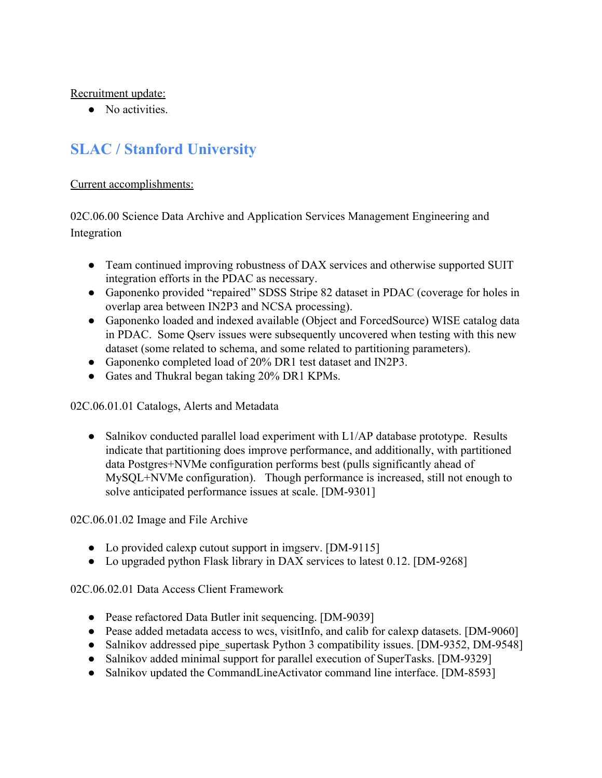Recruitment update:

• No activities.

### **SLAC / Stanford University**

Current accomplishments:

02C.06.00 Science Data Archive and Application Services Management Engineering and Integration

- Team continued improving robustness of DAX services and otherwise supported SUIT integration efforts in the PDAC as necessary.
- Gaponenko provided "repaired" SDSS Stripe 82 dataset in PDAC (coverage for holes in overlap area between IN2P3 and NCSA processing).
- Gaponenko loaded and indexed available (Object and ForcedSource) WISE catalog data in PDAC. Some Qserv issues were subsequently uncovered when testing with this new dataset (some related to schema, and some related to partitioning parameters).
- Gaponenko completed load of 20% DR1 test dataset and IN2P3.
- Gates and Thukral began taking 20% DR1 KPMs.

02C.06.01.01 Catalogs, Alerts and Metadata

• Salnikov conducted parallel load experiment with L1/AP database prototype. Results indicate that partitioning does improve performance, and additionally, with partitioned data Postgres+NVMe configuration performs best (pulls significantly ahead of MySQL+NVMe configuration). Though performance is increased, still not enough to solve anticipated performance issues at scale. [DM-9301]

02C.06.01.02 Image and File Archive

- Lo provided calexp cutout support in imgserv. [DM-9115]
- Lo upgraded python Flask library in DAX services to latest 0.12. [DM-9268]

02C.06.02.01 Data Access Client Framework

- Pease refactored Data Butler init sequencing. [DM-9039]
- Pease added metadata access to wcs, visitInfo, and calib for calexp datasets. [DM-9060]
- Salnikov addressed pipe\_supertask Python 3 compatibility issues. [DM-9352, DM-9548]
- Salnikov added minimal support for parallel execution of SuperTasks. [DM-9329]
- Salnikov updated the CommandLineActivator command line interface. [DM-8593]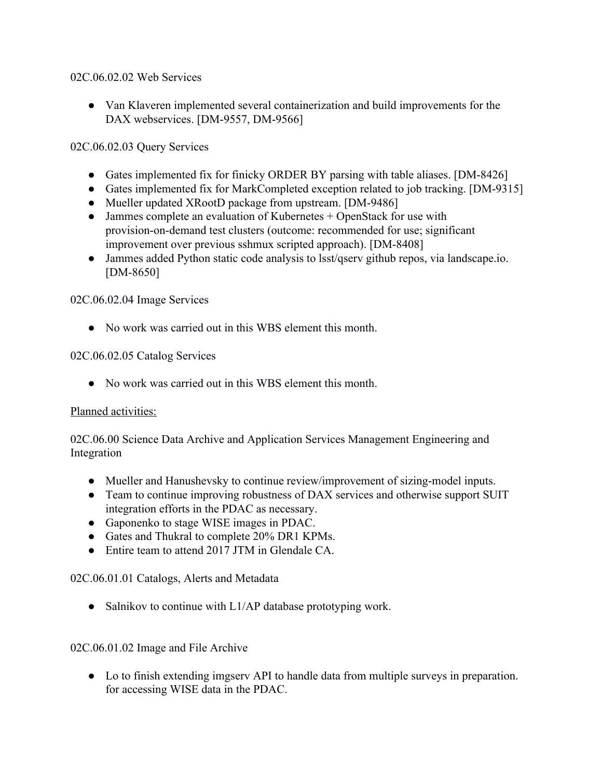#### 02C.06.02.02 Web Services

● Van Klaveren implemented several containerization and build improvements for the DAX webservices. [DM-9557, DM-9566]

#### 02C.06.02.03 Query Services

- Gates implemented fix for finicky ORDER BY parsing with table aliases. [DM-8426]
- Gates implemented fix for MarkCompleted exception related to job tracking. [DM-9315]
- Mueller updated XRootD package from upstream. [DM-9486]
- Jammes complete an evaluation of Kubernetes + OpenStack for use with provision-on-demand test clusters (outcome: recommended for use; significant improvement over previous sshmux scripted approach). [DM-8408]
- Jammes added Python static code analysis to lsst/qserv github repos, via landscape.io. [DM-8650]

#### 02C.06.02.04 Image Services

• No work was carried out in this WBS element this month.

#### 02C.06.02.05 Catalog Services

● No work was carried out in this WBS element this month.

#### Planned activities:

02C.06.00 Science Data Archive and Application Services Management Engineering and Integration

- Mueller and Hanushevsky to continue review/improvement of sizing-model inputs.
- Team to continue improving robustness of DAX services and otherwise support SUIT integration efforts in the PDAC as necessary.
- Gaponenko to stage WISE images in PDAC.
- Gates and Thukral to complete 20% DR1 KPMs.
- Entire team to attend 2017 JTM in Glendale CA

#### 02C.06.01.01 Catalogs, Alerts and Metadata

• Salnikov to continue with L1/AP database prototyping work.

#### 02C.06.01.02 Image and File Archive

● Lo to finish extending imgserv API to handle data from multiple surveys in preparation. for accessing WISE data in the PDAC.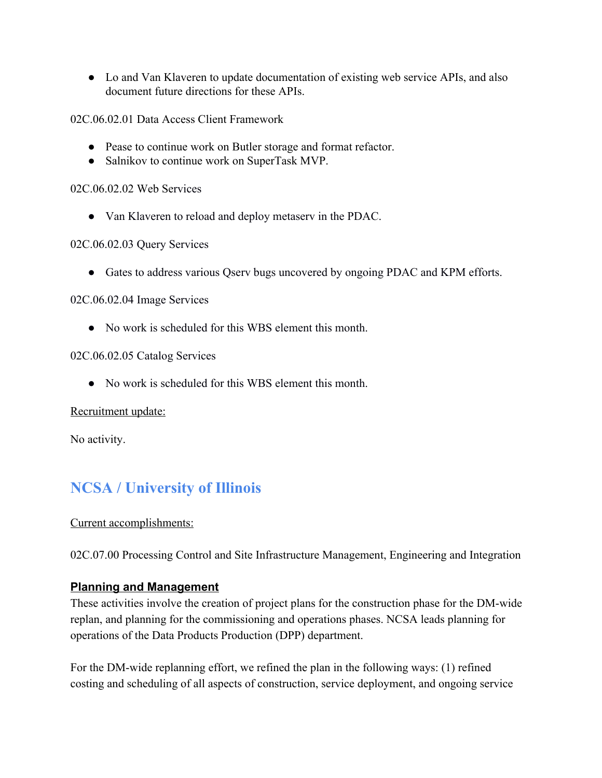• Lo and Van Klaveren to update documentation of existing web service APIs, and also document future directions for these APIs.

02C.06.02.01 Data Access Client Framework

- Pease to continue work on Butler storage and format refactor.
- Salnikov to continue work on SuperTask MVP.

#### 02C.06.02.02 Web Services

● Van Klaveren to reload and deploy metaserv in the PDAC.

#### 02C.06.02.03 Query Services

● Gates to address various Qserv bugs uncovered by ongoing PDAC and KPM efforts.

#### 02C.06.02.04 Image Services

• No work is scheduled for this WBS element this month.

#### 02C.06.02.05 Catalog Services

• No work is scheduled for this WBS element this month.

#### Recruitment update:

No activity.

### **NCSA / University of Illinois**

#### Current accomplishments:

02C.07.00 Processing Control and Site Infrastructure Management, Engineering and Integration

#### **Planning and Management**

These activities involve the creation of project plans for the construction phase for the DM-wide replan, and planning for the commissioning and operations phases. NCSA leads planning for operations of the Data Products Production (DPP) department.

For the DM-wide replanning effort, we refined the plan in the following ways: (1) refined costing and scheduling of all aspects of construction, service deployment, and ongoing service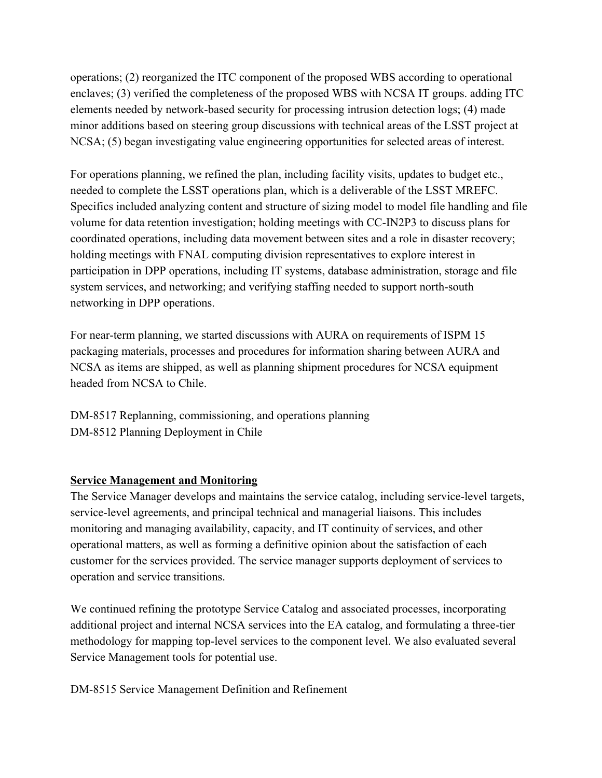operations; (2) reorganized the ITC component of the proposed WBS according to operational enclaves; (3) verified the completeness of the proposed WBS with NCSA IT groups. adding ITC elements needed by network-based security for processing intrusion detection logs; (4) made minor additions based on steering group discussions with technical areas of the LSST project at NCSA; (5) began investigating value engineering opportunities for selected areas of interest.

For operations planning, we refined the plan, including facility visits, updates to budget etc., needed to complete the LSST operations plan, which is a deliverable of the LSST MREFC. Specifics included analyzing content and structure of sizing model to model file handling and file volume for data retention investigation; holding meetings with CC-IN2P3 to discuss plans for coordinated operations, including data movement between sites and a role in disaster recovery; holding meetings with FNAL computing division representatives to explore interest in participation in DPP operations, including IT systems, database administration, storage and file system services, and networking; and verifying staffing needed to support north-south networking in DPP operations.

For near-term planning, we started discussions with AURA on requirements of ISPM 15 packaging materials, processes and procedures for information sharing between AURA and NCSA as items are shipped, as well as planning shipment procedures for NCSA equipment headed from NCSA to Chile.

DM-8517 Replanning, commissioning, and operations planning DM-8512 Planning Deployment in Chile

#### **Service Management and Monitoring**

The Service Manager develops and maintains the service catalog, including service-level targets, service-level agreements, and principal technical and managerial liaisons. This includes monitoring and managing availability, capacity, and IT continuity of services, and other operational matters, as well as forming a definitive opinion about the satisfaction of each customer for the services provided. The service manager supports deployment of services to operation and service transitions.

We continued refining the prototype Service Catalog and associated processes, incorporating additional project and internal NCSA services into the EA catalog, and formulating a three-tier methodology for mapping top-level services to the component level. We also evaluated several Service Management tools for potential use.

DM-8515 Service Management Definition and Refinement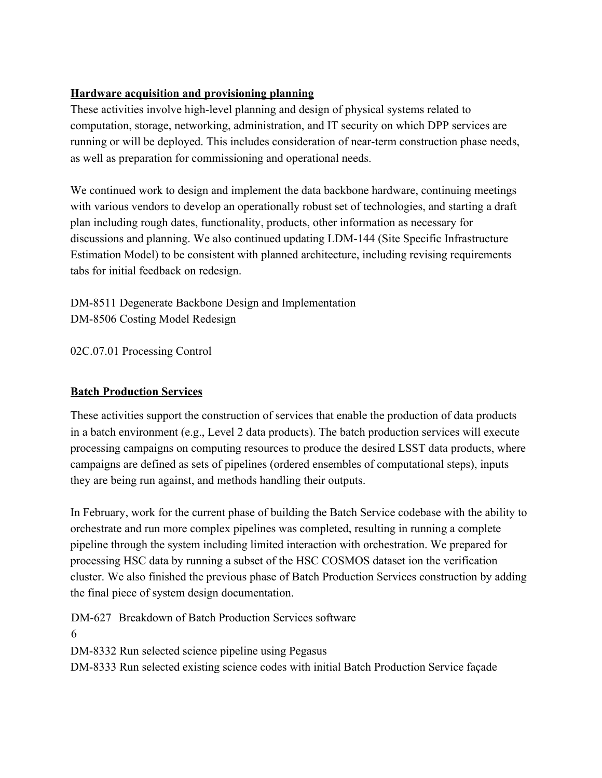#### **Hardware acquisition and provisioning planning**

These activities involve high-level planning and design of physical systems related to computation, storage, networking, administration, and IT security on which DPP services are running or will be deployed. This includes consideration of near-term construction phase needs, as well as preparation for commissioning and operational needs.

We continued work to design and implement the data backbone hardware, continuing meetings with various vendors to develop an operationally robust set of technologies, and starting a draft plan including rough dates, functionality, products, other information as necessary for discussions and planning. We also continued updating LDM-144 (Site Specific Infrastructure Estimation Model) to be consistent with planned architecture, including revising requirements tabs for initial feedback on redesign.

DM-8511 Degenerate Backbone Design and Implementation DM-8506 Costing Model Redesign

02C.07.01 Processing Control

#### **Batch Production Services**

These activities support the construction of services that enable the production of data products in a batch environment (e.g., Level 2 data products). The batch production services will execute processing campaigns on computing resources to produce the desired LSST data products, where campaigns are defined as sets of pipelines (ordered ensembles of computational steps), inputs they are being run against, and methods handling their outputs.

In February, work for the current phase of building the Batch Service codebase with the ability to orchestrate and run more complex pipelines was completed, resulting in running a complete pipeline through the system including limited interaction with orchestration. We prepared for processing HSC data by running a subset of the HSC COSMOS dataset ion the verification cluster. We also finished the previous phase of Batch Production Services construction by adding the final piece of system design documentation.

DM-627 Breakdown of Batch Production Services software 6 DM-8332 Run selected science pipeline using Pegasus DM-8333 Run selected existing science codes with initial Batch Production Service façade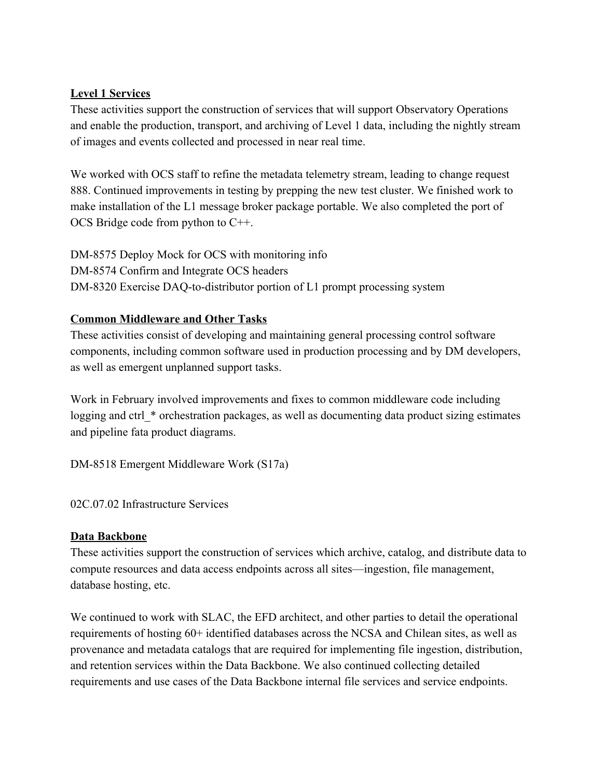#### **Level 1 Services**

These activities support the construction of services that will support Observatory Operations and enable the production, transport, and archiving of Level 1 data, including the nightly stream of images and events collected and processed in near real time.

We worked with OCS staff to refine the metadata telemetry stream, leading to change request 888. Continued improvements in testing by prepping the new test cluster. We finished work to make installation of the L1 message broker package portable. We also completed the port of OCS Bridge code from python to C++.

DM-8575 Deploy Mock for OCS with monitoring info DM-8574 Confirm and Integrate OCS headers DM-8320 Exercise DAQ-to-distributor portion of L1 prompt processing system

#### **Common Middleware and Other Tasks**

These activities consist of developing and maintaining general processing control software components, including common software used in production processing and by DM developers, as well as emergent unplanned support tasks.

Work in February involved improvements and fixes to common middleware code including logging and ctrl \* orchestration packages, as well as documenting data product sizing estimates and pipeline fata product diagrams.

DM-8518 Emergent Middleware Work (S17a)

02C.07.02 Infrastructure Services

#### **Data Backbone**

These activities support the construction of services which archive, catalog, and distribute data to compute resources and data access endpoints across all sites—ingestion, file management, database hosting, etc.

We continued to work with SLAC, the EFD architect, and other parties to detail the operational requirements of hosting 60+ identified databases across the NCSA and Chilean sites, as well as provenance and metadata catalogs that are required for implementing file ingestion, distribution, and retention services within the Data Backbone. We also continued collecting detailed requirements and use cases of the Data Backbone internal file services and service endpoints.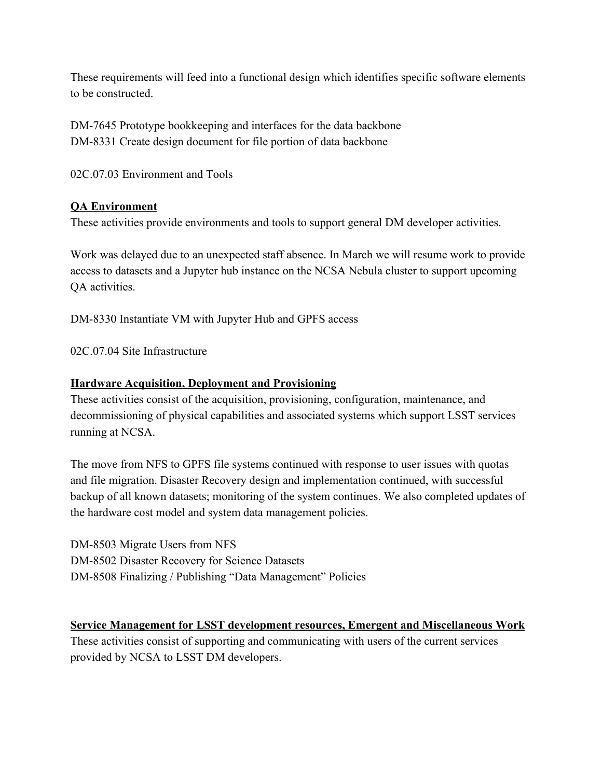These requirements will feed into a functional design which identifies specific software elements to be constructed.

DM-7645 Prototype bookkeeping and interfaces for the data backbone DM-8331 Create design document for file portion of data backbone

02C.07.03 Environment and Tools

#### **QA Environment**

These activities provide environments and tools to support general DM developer activities.

Work was delayed due to an unexpected staff absence. In March we will resume work to provide access to datasets and a Jupyter hub instance on the NCSA Nebula cluster to support upcoming QA activities.

DM-8330 Instantiate VM with Jupyter Hub and GPFS access

02C.07.04 Site Infrastructure

#### **Hardware Acquisition, Deployment and Provisioning**

These activities consist of the acquisition, provisioning, configuration, maintenance, and decommissioning of physical capabilities and associated systems which support LSST services running at NCSA.

The move from NFS to GPFS file systems continued with response to user issues with quotas and file migration. Disaster Recovery design and implementation continued, with successful backup of all known datasets; monitoring of the system continues. We also completed updates of the hardware cost model and system data management policies.

DM-8503 Migrate Users from NFS DM-8502 Disaster Recovery for Science Datasets DM-8508 Finalizing / Publishing "Data Management" Policies

#### **Service Management for LSST development resources, Emergent and Miscellaneous Work**

These activities consist of supporting and communicating with users of the current services provided by NCSA to LSST DM developers.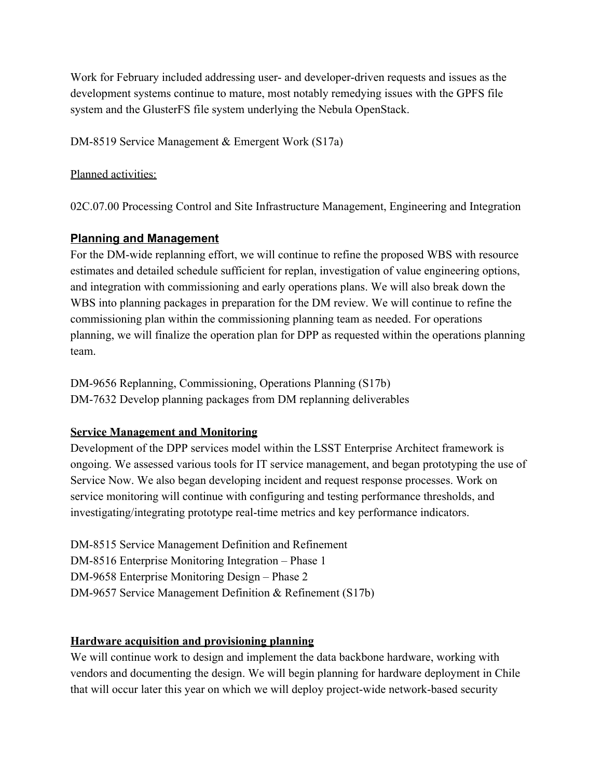Work for February included addressing user- and developer-driven requests and issues as the development systems continue to mature, most notably remedying issues with the GPFS file system and the GlusterFS file system underlying the Nebula OpenStack.

DM-8519 Service Management & Emergent Work (S17a)

#### Planned activities:

02C.07.00 Processing Control and Site Infrastructure Management, Engineering and Integration

#### **Planning and Management**

For the DM-wide replanning effort, we will continue to refine the proposed WBS with resource estimates and detailed schedule sufficient for replan, investigation of value engineering options, and integration with commissioning and early operations plans. We will also break down the WBS into planning packages in preparation for the DM review. We will continue to refine the commissioning plan within the commissioning planning team as needed. For operations planning, we will finalize the operation plan for DPP as requested within the operations planning team.

DM-9656 Replanning, Commissioning, Operations Planning (S17b) DM-7632 Develop planning packages from DM replanning deliverables

#### **Service Management and Monitoring**

Development of the DPP services model within the LSST Enterprise Architect framework is ongoing. We assessed various tools for IT service management, and began prototyping the use of Service Now. We also began developing incident and request response processes. Work on service monitoring will continue with configuring and testing performance thresholds, and investigating/integrating prototype real-time metrics and key performance indicators.

DM-8515 Service Management Definition and Refinement DM-8516 Enterprise Monitoring Integration – Phase 1 DM-9658 Enterprise Monitoring Design – Phase 2 DM-9657 Service Management Definition & Refinement (S17b)

#### **Hardware acquisition and provisioning planning**

We will continue work to design and implement the data backbone hardware, working with vendors and documenting the design. We will begin planning for hardware deployment in Chile that will occur later this year on which we will deploy project-wide network-based security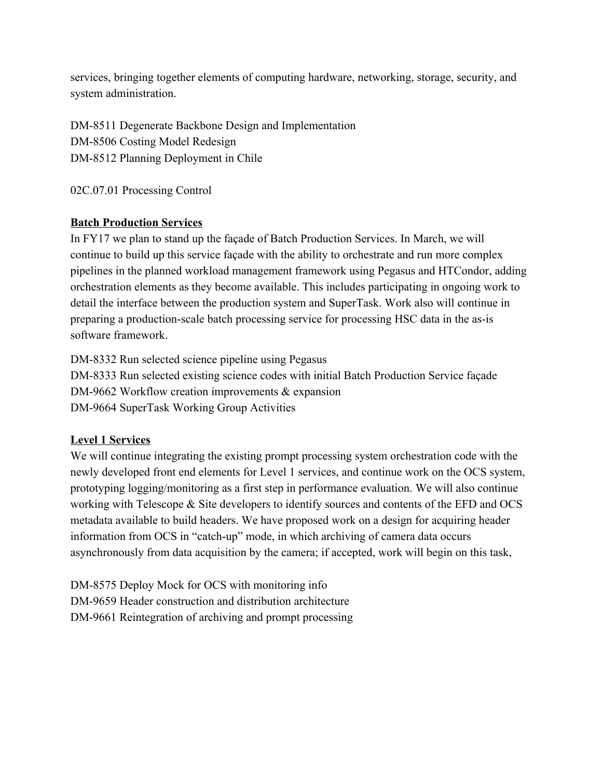services, bringing together elements of computing hardware, networking, storage, security, and system administration.

DM-8511 Degenerate Backbone Design and Implementation DM-8506 Costing Model Redesign [DM-8512 Planning Deployment in Chile](https://jira.lsstcorp.org/browse/DM-8512)

02C.07.01 Processing Control

#### **Batch Production Services**

In FY17 we plan to stand up the façade of Batch Production Services. In March, we will continue to build up this service façade with the ability to orchestrate and run more complex pipelines in the planned workload management framework using Pegasus and HTCondor, adding orchestration elements as they become available. This includes participating in ongoing work to detail the interface between the production system and SuperTask. Work also will continue in preparing a production-scale batch processing service for processing HSC data in the as-is software framework.

DM-8332 Run selected science pipeline using Pegasus DM-8333 Run selected existing science codes with initial Batch Production Service façade DM-9662 Workflow creation improvements & expansion DM-9664 SuperTask Working Group Activities

#### **Level 1 Services**

We will continue integrating the existing prompt processing system orchestration code with the newly developed front end elements for Level 1 services, and continue work on the OCS system, prototyping logging/monitoring as a first step in performance evaluation. We will also continue working with Telescope & Site developers to identify sources and contents of the EFD and OCS metadata available to build headers. We have proposed work on a design for acquiring header information from OCS in "catch-up" mode, in which archiving of camera data occurs asynchronously from data acquisition by the camera; if accepted, work will begin on this task,

DM-8575 Deploy Mock for OCS with monitoring info DM-9659 Header construction and distribution architecture DM-9661 Reintegration of archiving and prompt processing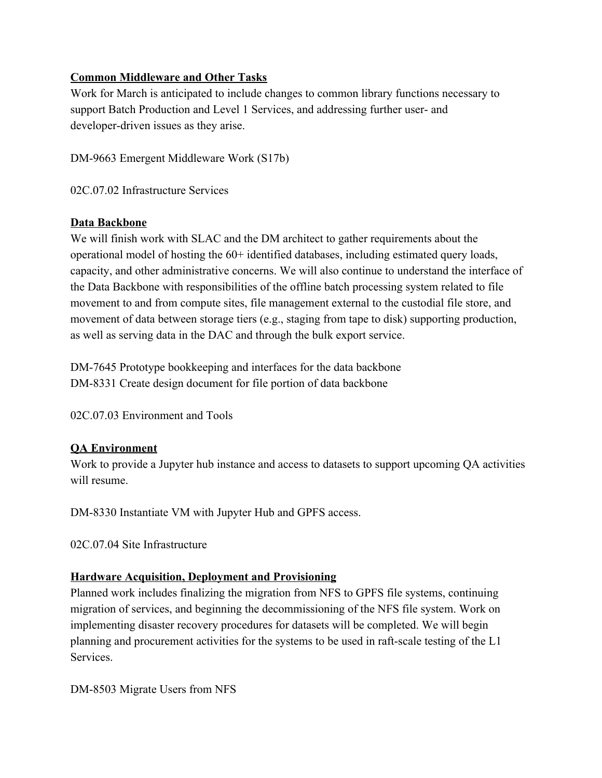#### **Common Middleware and Other Tasks**

Work for March is anticipated to include changes to common library functions necessary to support Batch Production and Level 1 Services, and addressing further user- and developer-driven issues as they arise.

DM-9663 Emergent Middleware Work (S17b)

02C.07.02 Infrastructure Services

#### **Data Backbone**

We will finish work with SLAC and the DM architect to gather requirements about the operational model of hosting the 60+ identified databases, including estimated query loads, capacity, and other administrative concerns. We will also continue to understand the interface of the Data Backbone with responsibilities of the offline batch processing system related to file movement to and from compute sites, file management external to the custodial file store, and movement of data between storage tiers (e.g., staging from tape to disk) supporting production, as well as serving data in the DAC and through the bulk export service.

DM-7645 Prototype bookkeeping and interfaces for the data backbone DM-8331 Create design document for file portion of data backbone

02C.07.03 Environment and Tools

#### **QA Environment**

Work to provide a Jupyter hub instance and access to datasets to support upcoming QA activities will resume.

DM-8330 Instantiate VM with Jupyter Hub and GPFS access.

02C.07.04 Site Infrastructure

#### **Hardware Acquisition, Deployment and Provisioning**

Planned work includes finalizing the migration from NFS to GPFS file systems, continuing migration of services, and beginning the decommissioning of the NFS file system. Work on implementing disaster recovery procedures for datasets will be completed. We will begin planning and procurement activities for the systems to be used in raft-scale testing of the L1 Services.

DM-8503 Migrate Users from NFS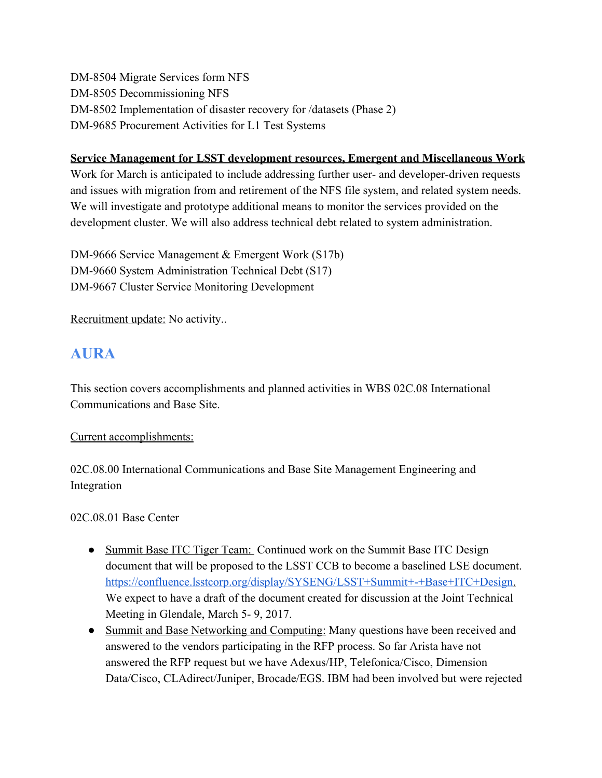DM-8504 Migrate Services form NFS DM-8505 Decommissioning NFS DM-8502 Implementation of disaster recovery for /datasets (Phase 2) DM-9685 Procurement Activities for L1 Test Systems

#### **Service Management for LSST development resources, Emergent and Miscellaneous Work**

Work for March is anticipated to include addressing further user- and developer-driven requests and issues with migration from and retirement of the NFS file system, and related system needs. We will investigate and prototype additional means to monitor the services provided on the development cluster. We will also address technical debt related to system administration.

DM-9666 Service Management & Emergent Work (S17b) DM-9660 System Administration Technical Debt (S17) DM-9667 Cluster Service Monitoring Development

Recruitment update: No activity..

### **AURA**

This section covers accomplishments and planned activities in WBS 02C.08 International Communications and Base Site.

Current accomplishments:

02C.08.00 International Communications and Base Site Management Engineering and Integration

02C.08.01 Base Center

- Summit Base ITC Tiger Team: Continued work on the Summit Base ITC Design document that will be proposed to the LSST CCB to become a baselined LSE document. [https://confluence.lsstcorp.org/display/SYSENG/LSST+Summit+-+Base+ITC+Design.](https://confluence.lsstcorp.org/display/SYSENG/LSST+Summit+-+Base+ITC+Design) We expect to have a draft of the document created for discussion at the Joint Technical Meeting in Glendale, March 5- 9, 2017.
- Summit and Base Networking and Computing: Many questions have been received and answered to the vendors participating in the RFP process. So far Arista have not answered the RFP request but we have Adexus/HP, Telefonica/Cisco, Dimension Data/Cisco, CLAdirect/Juniper, Brocade/EGS. IBM had been involved but were rejected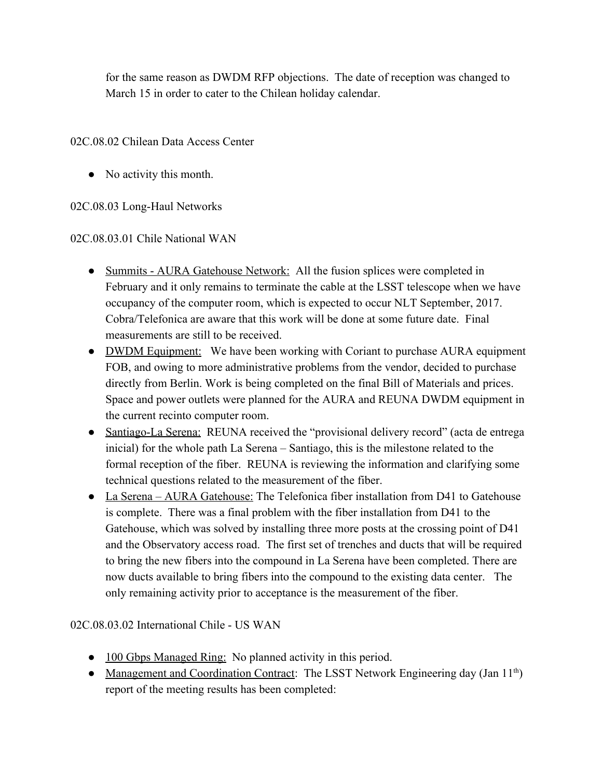for the same reason as DWDM RFP objections. The date of reception was changed to March 15 in order to cater to the Chilean holiday calendar.

02C.08.02 Chilean Data Access Center

• No activity this month.

02C.08.03 Long-Haul Networks

02C.08.03.01 Chile National WAN

- Summits AURA Gatehouse Network: All the fusion splices were completed in February and it only remains to terminate the cable at the LSST telescope when we have occupancy of the computer room, which is expected to occur NLT September, 2017. Cobra/Telefonica are aware that this work will be done at some future date. Final measurements are still to be received.
- DWDM Equipment: We have been working with Coriant to purchase AURA equipment FOB, and owing to more administrative problems from the vendor, decided to purchase directly from Berlin. Work is being completed on the final Bill of Materials and prices. Space and power outlets were planned for the AURA and REUNA DWDM equipment in the current recinto computer room.
- Santiago-La Serena: REUNA received the "provisional delivery record" (acta de entrega inicial) for the whole path La Serena – Santiago, this is the milestone related to the formal reception of the fiber. REUNA is reviewing the information and clarifying some technical questions related to the measurement of the fiber.
- La Serena AURA Gatehouse: The Telefonica fiber installation from D41 to Gatehouse is complete. There was a final problem with the fiber installation from D41 to the Gatehouse, which was solved by installing three more posts at the crossing point of D41 and the Observatory access road. The first set of trenches and ducts that will be required to bring the new fibers into the compound in La Serena have been completed. There are now ducts available to bring fibers into the compound to the existing data center. The only remaining activity prior to acceptance is the measurement of the fiber.

02C.08.03.02 International Chile - US WAN

- 100 Gbps Managed Ring: No planned activity in this period.
- Management and Coordination Contract: The LSST Network Engineering day (Jan 11<sup>th</sup>) report of the meeting results has been completed: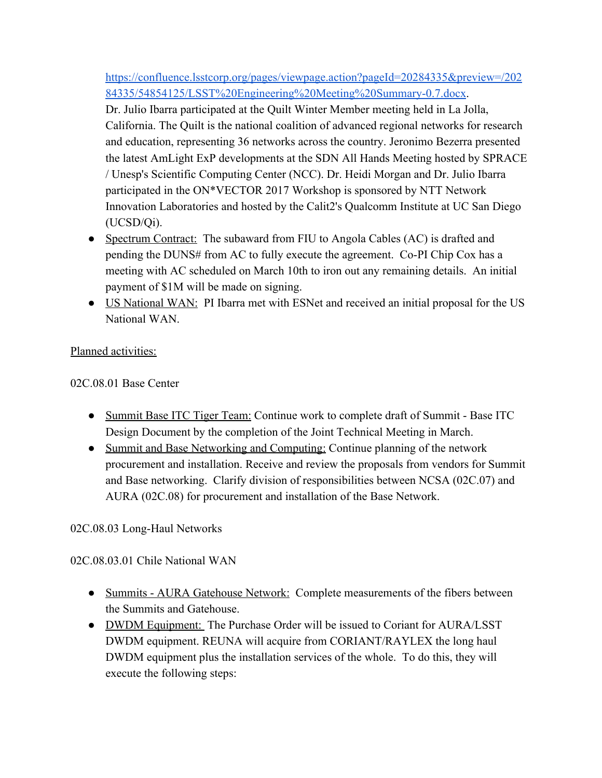[https://confluence.lsstcorp.org/pages/viewpage.action?pageId=20284335&preview=/202](https://confluence.lsstcorp.org/pages/viewpage.action?pageId=20284335&preview=/20284335/54854125/LSST%20Engineering%20Meeting%20Summary-0.7.docx) [84335/54854125/LSST%20Engineering%20Meeting%20Summary-0.7.docx.](https://confluence.lsstcorp.org/pages/viewpage.action?pageId=20284335&preview=/20284335/54854125/LSST%20Engineering%20Meeting%20Summary-0.7.docx)

Dr. Julio Ibarra participated at the Quilt Winter Member meeting held in La Jolla, California. The Quilt is the national coalition of advanced regional networks for research and education, representing 36 networks across the country. Jeronimo Bezerra presented the latest AmLight ExP developments at the SDN All Hands Meeting hosted by SPRACE / Unesp's Scientific Computing Center (NCC). Dr. Heidi Morgan and Dr. Julio Ibarra participated in the ON\*VECTOR 2017 Workshop is sponsored by NTT Network Innovation Laboratories and hosted by the Calit2's Qualcomm Institute at UC San Diego (UCSD/Qi).

- Spectrum Contract: The subaward from FIU to Angola Cables (AC) is drafted and pending the DUNS# from AC to fully execute the agreement. Co-PI Chip Cox has a meeting with AC scheduled on March 10th to iron out any remaining details. An initial payment of \$1M will be made on signing.
- US National WAN: PI Ibarra met with ESNet and received an initial proposal for the US National WAN.

Planned activities:

02C.08.01 Base Center

- Summit Base ITC Tiger Team: Continue work to complete draft of Summit Base ITC Design Document by the completion of the Joint Technical Meeting in March.
- Summit and Base Networking and Computing: Continue planning of the network procurement and installation. Receive and review the proposals from vendors for Summit and Base networking. Clarify division of responsibilities between NCSA (02C.07) and AURA (02C.08) for procurement and installation of the Base Network.

#### 02C.08.03 Long-Haul Networks

02C.08.03.01 Chile National WAN

- Summits AURA Gatehouse Network: Complete measurements of the fibers between the Summits and Gatehouse.
- DWDM Equipment: The Purchase Order will be issued to Coriant for AURA/LSST DWDM equipment. REUNA will acquire from CORIANT/RAYLEX the long haul DWDM equipment plus the installation services of the whole. To do this, they will execute the following steps: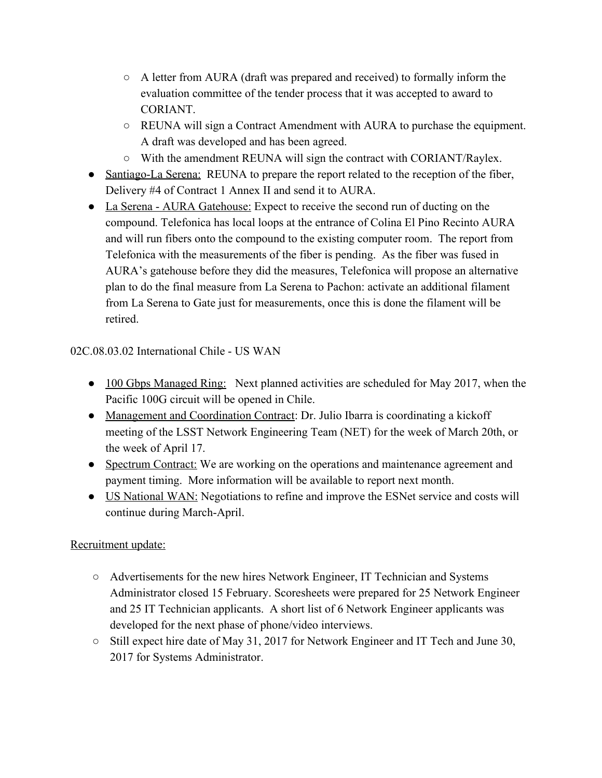- A letter from AURA (draft was prepared and received) to formally inform the evaluation committee of the tender process that it was accepted to award to CORIANT.
- REUNA will sign a Contract Amendment with AURA to purchase the equipment. A draft was developed and has been agreed.
- With the amendment REUNA will sign the contract with CORIANT/Raylex.
- Santiago-La Serena: REUNA to prepare the report related to the reception of the fiber, Delivery #4 of Contract 1 Annex II and send it to AURA.
- La Serena AURA Gatehouse: Expect to receive the second run of ducting on the compound. Telefonica has local loops at the entrance of Colina El Pino Recinto AURA and will run fibers onto the compound to the existing computer room. The report from Telefonica with the measurements of the fiber is pending. As the fiber was fused in AURA's gatehouse before they did the measures, Telefonica will propose an alternative plan to do the final measure from La Serena to Pachon: activate an additional filament from La Serena to Gate just for measurements, once this is done the filament will be retired.

02C.08.03.02 International Chile - US WAN

- 100 Gbps Managed Ring: Next planned activities are scheduled for May 2017, when the Pacific 100G circuit will be opened in Chile.
- Management and Coordination Contract: Dr. Julio Ibarra is coordinating a kickoff meeting of the LSST Network Engineering Team (NET) for the week of March 20th, or the week of April 17.
- Spectrum Contract: We are working on the operations and maintenance agreement and payment timing. More information will be available to report next month.
- US National WAN: Negotiations to refine and improve the ESNet service and costs will continue during March-April.

#### Recruitment update:

- Advertisements for the new hires Network Engineer, IT Technician and Systems Administrator closed 15 February. Scoresheets were prepared for 25 Network Engineer and 25 IT Technician applicants. A short list of 6 Network Engineer applicants was developed for the next phase of phone/video interviews.
- Still expect hire date of May 31, 2017 for Network Engineer and IT Tech and June 30, 2017 for Systems Administrator.